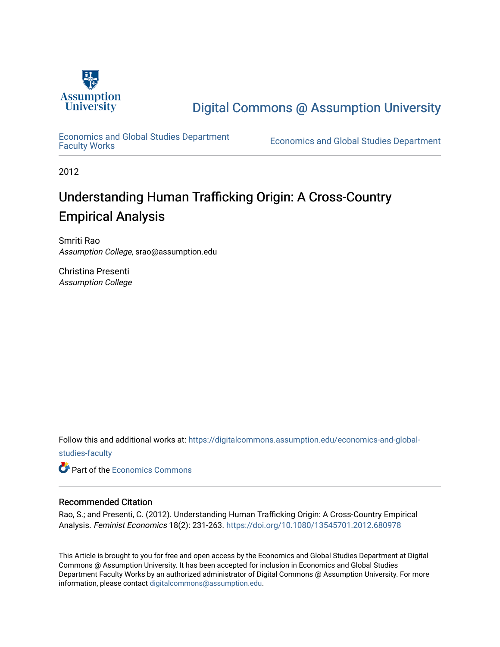

# [Digital Commons @ Assumption University](https://digitalcommons.assumption.edu/)

[Economics and Global Studies Department](https://digitalcommons.assumption.edu/economics-and-global-studies-faculty)

Economics and Global Studies Department

2012

# Understanding Human Trafficking Origin: A Cross-Country Empirical Analysis

Smriti Rao Assumption College, srao@assumption.edu

Christina Presenti Assumption College

Follow this and additional works at: [https://digitalcommons.assumption.edu/economics-and-global](https://digitalcommons.assumption.edu/economics-and-global-studies-faculty?utm_source=digitalcommons.assumption.edu%2Feconomics-and-global-studies-faculty%2F6&utm_medium=PDF&utm_campaign=PDFCoverPages)[studies-faculty](https://digitalcommons.assumption.edu/economics-and-global-studies-faculty?utm_source=digitalcommons.assumption.edu%2Feconomics-and-global-studies-faculty%2F6&utm_medium=PDF&utm_campaign=PDFCoverPages)

**C** Part of the [Economics Commons](http://network.bepress.com/hgg/discipline/340?utm_source=digitalcommons.assumption.edu%2Feconomics-and-global-studies-faculty%2F6&utm_medium=PDF&utm_campaign=PDFCoverPages)

# Recommended Citation

Rao, S.; and Presenti, C. (2012). Understanding Human Trafficking Origin: A Cross-Country Empirical Analysis. Feminist Economics 18(2): 231-263.<https://doi.org/10.1080/13545701.2012.680978>

This Article is brought to you for free and open access by the Economics and Global Studies Department at Digital Commons @ Assumption University. It has been accepted for inclusion in Economics and Global Studies Department Faculty Works by an authorized administrator of Digital Commons @ Assumption University. For more information, please contact [digitalcommons@assumption.edu.](mailto:digitalcommons@assumption.edu)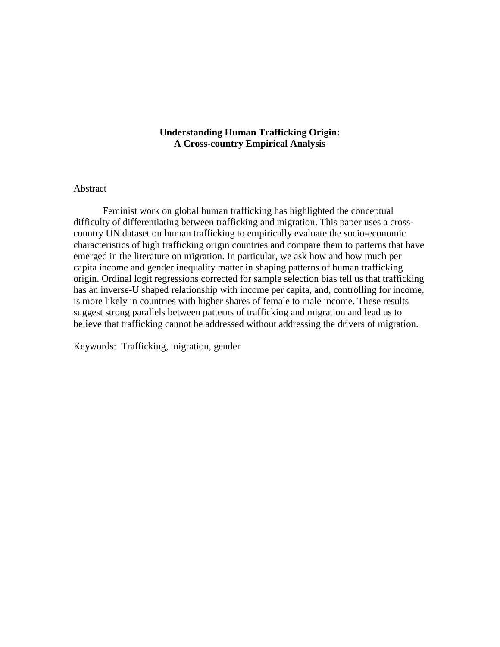# **Understanding Human Trafficking Origin: A Cross-country Empirical Analysis**

# Abstract

Feminist work on global human trafficking has highlighted the conceptual difficulty of differentiating between trafficking and migration. This paper uses a crosscountry UN dataset on human trafficking to empirically evaluate the socio-economic characteristics of high trafficking origin countries and compare them to patterns that have emerged in the literature on migration. In particular, we ask how and how much per capita income and gender inequality matter in shaping patterns of human trafficking origin. Ordinal logit regressions corrected for sample selection bias tell us that trafficking has an inverse-U shaped relationship with income per capita, and, controlling for income, is more likely in countries with higher shares of female to male income. These results suggest strong parallels between patterns of trafficking and migration and lead us to believe that trafficking cannot be addressed without addressing the drivers of migration.

Keywords: Trafficking, migration, gender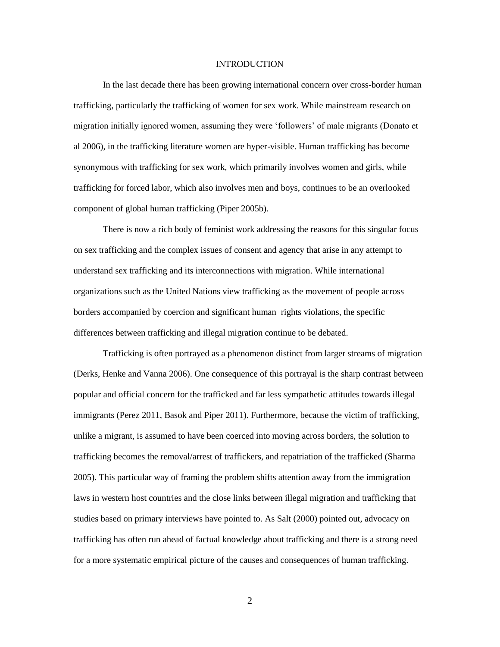#### INTRODUCTION

In the last decade there has been growing international concern over cross-border human trafficking, particularly the trafficking of women for sex work. While mainstream research on migration initially ignored women, assuming they were 'followers' of male migrants (Donato et al 2006), in the trafficking literature women are hyper-visible. Human trafficking has become synonymous with trafficking for sex work, which primarily involves women and girls, while trafficking for forced labor, which also involves men and boys, continues to be an overlooked component of global human trafficking (Piper 2005b).

There is now a rich body of feminist work addressing the reasons for this singular focus on sex trafficking and the complex issues of consent and agency that arise in any attempt to understand sex trafficking and its interconnections with migration. While international organizations such as the United Nations view trafficking as the movement of people across borders accompanied by coercion and significant human rights violations, the specific differences between trafficking and illegal migration continue to be debated.

Trafficking is often portrayed as a phenomenon distinct from larger streams of migration (Derks, Henke and Vanna 2006). One consequence of this portrayal is the sharp contrast between popular and official concern for the trafficked and far less sympathetic attitudes towards illegal immigrants (Perez 2011, Basok and Piper 2011). Furthermore, because the victim of trafficking, unlike a migrant, is assumed to have been coerced into moving across borders, the solution to trafficking becomes the removal/arrest of traffickers, and repatriation of the trafficked (Sharma 2005). This particular way of framing the problem shifts attention away from the immigration laws in western host countries and the close links between illegal migration and trafficking that studies based on primary interviews have pointed to. As Salt (2000) pointed out, advocacy on trafficking has often run ahead of factual knowledge about trafficking and there is a strong need for a more systematic empirical picture of the causes and consequences of human trafficking.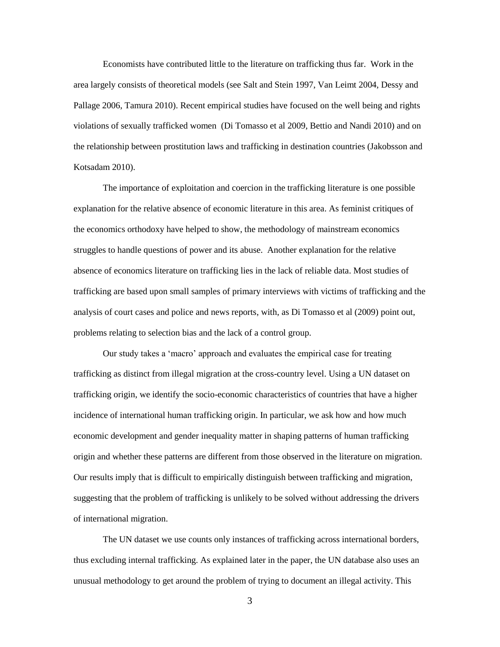Economists have contributed little to the literature on trafficking thus far. Work in the area largely consists of theoretical models (see Salt and Stein 1997, Van Leimt 2004, Dessy and Pallage 2006, Tamura 2010). Recent empirical studies have focused on the well being and rights violations of sexually trafficked women (Di Tomasso et al 2009, Bettio and Nandi 2010) and on the relationship between prostitution laws and trafficking in destination countries (Jakobsson and Kotsadam 2010).

The importance of exploitation and coercion in the trafficking literature is one possible explanation for the relative absence of economic literature in this area. As feminist critiques of the economics orthodoxy have helped to show, the methodology of mainstream economics struggles to handle questions of power and its abuse. Another explanation for the relative absence of economics literature on trafficking lies in the lack of reliable data. Most studies of trafficking are based upon small samples of primary interviews with victims of trafficking and the analysis of court cases and police and news reports, with, as Di Tomasso et al (2009) point out, problems relating to selection bias and the lack of a control group.

Our study takes a 'macro' approach and evaluates the empirical case for treating trafficking as distinct from illegal migration at the cross-country level. Using a UN dataset on trafficking origin, we identify the socio-economic characteristics of countries that have a higher incidence of international human trafficking origin. In particular, we ask how and how much economic development and gender inequality matter in shaping patterns of human trafficking origin and whether these patterns are different from those observed in the literature on migration. Our results imply that is difficult to empirically distinguish between trafficking and migration, suggesting that the problem of trafficking is unlikely to be solved without addressing the drivers of international migration.

The UN dataset we use counts only instances of trafficking across international borders, thus excluding internal trafficking. As explained later in the paper, the UN database also uses an unusual methodology to get around the problem of trying to document an illegal activity. This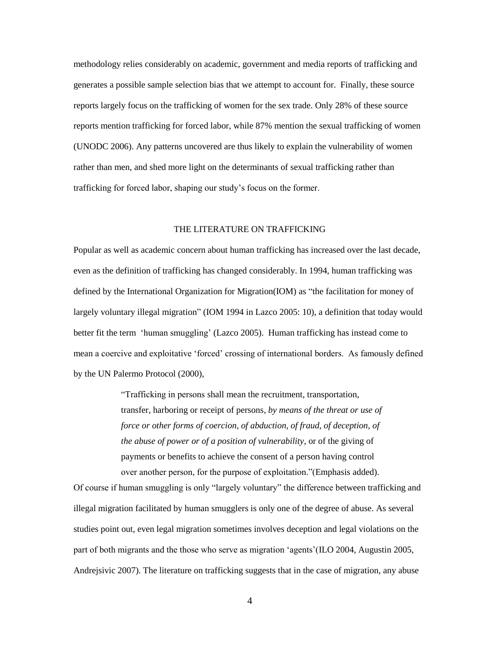methodology relies considerably on academic, government and media reports of trafficking and generates a possible sample selection bias that we attempt to account for. Finally, these source reports largely focus on the trafficking of women for the sex trade. Only 28% of these source reports mention trafficking for forced labor, while 87% mention the sexual trafficking of women (UNODC 2006). Any patterns uncovered are thus likely to explain the vulnerability of women rather than men, and shed more light on the determinants of sexual trafficking rather than trafficking for forced labor, shaping our study's focus on the former.

# THE LITERATURE ON TRAFFICKING

Popular as well as academic concern about human trafficking has increased over the last decade, even as the definition of trafficking has changed considerably. In 1994, human trafficking was defined by the International Organization for Migration(IOM) as "the facilitation for money of largely voluntary illegal migration" (IOM 1994 in Lazco 2005: 10), a definition that today would better fit the term 'human smuggling' (Lazco 2005). Human trafficking has instead come to mean a coercive and exploitative 'forced' crossing of international borders. As famously defined by the UN Palermo Protocol (2000),

> "Trafficking in persons shall mean the recruitment, transportation, transfer, harboring or receipt of persons*, by means of the threat or use of*  force or other forms of coercion, of abduction, of fraud, of deception, of *the abuse of power or of a position of vulnerability*, or of the giving of payments or benefits to achieve the consent of a person having control over another person, for the purpose of exploitation."(Emphasis added).

Of course if human smuggling is only "largely voluntary" the difference between trafficking and illegal migration facilitated by human smugglers is only one of the degree of abuse. As several studies point out, even legal migration sometimes involves deception and legal violations on the part of both migrants and the those who serve as migration 'agents'(ILO 2004, Augustin 2005, Andrejsivic 2007). The literature on trafficking suggests that in the case of migration, any abuse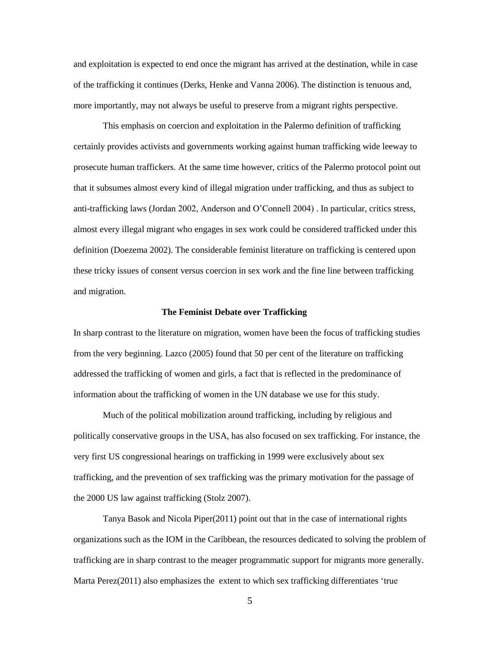and exploitation is expected to end once the migrant has arrived at the destination, while in case of the trafficking it continues (Derks, Henke and Vanna 2006). The distinction is tenuous and, more importantly, may not always be useful to preserve from a migrant rights perspective.

This emphasis on coercion and exploitation in the Palermo definition of trafficking certainly provides activists and governments working against human trafficking wide leeway to prosecute human traffickers. At the same time however, critics of the Palermo protocol point out that it subsumes almost every kind of illegal migration under trafficking, and thus as subject to anti-trafficking laws (Jordan 2002, Anderson and O'Connell 2004) . In particular, critics stress, almost every illegal migrant who engages in sex work could be considered trafficked under this definition (Doezema 2002). The considerable feminist literature on trafficking is centered upon these tricky issues of consent versus coercion in sex work and the fine line between trafficking and migration.

#### **The Feminist Debate over Trafficking**

In sharp contrast to the literature on migration, women have been the focus of trafficking studies from the very beginning. Lazco (2005) found that 50 per cent of the literature on trafficking addressed the trafficking of women and girls, a fact that is reflected in the predominance of information about the trafficking of women in the UN database we use for this study.

Much of the political mobilization around trafficking, including by religious and politically conservative groups in the USA, has also focused on sex trafficking. For instance, the very first US congressional hearings on trafficking in 1999 were exclusively about sex trafficking, and the prevention of sex trafficking was the primary motivation for the passage of the 2000 US law against trafficking (Stolz 2007).

Tanya Basok and Nicola Piper(2011) point out that in the case of international rights organizations such as the IOM in the Caribbean, the resources dedicated to solving the problem of trafficking are in sharp contrast to the meager programmatic support for migrants more generally. Marta Perez(2011) also emphasizes the extent to which sex trafficking differentiates 'true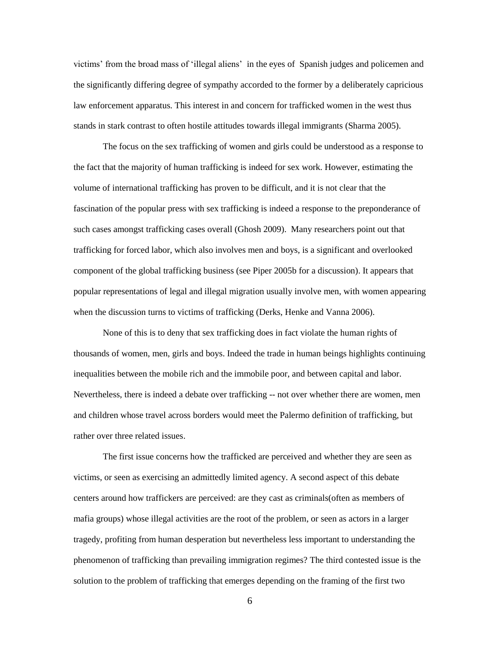victims' from the broad mass of 'illegal aliens' in the eyes of Spanish judges and policemen and the significantly differing degree of sympathy accorded to the former by a deliberately capricious law enforcement apparatus. This interest in and concern for trafficked women in the west thus stands in stark contrast to often hostile attitudes towards illegal immigrants (Sharma 2005).

The focus on the sex trafficking of women and girls could be understood as a response to the fact that the majority of human trafficking is indeed for sex work. However, estimating the volume of international trafficking has proven to be difficult, and it is not clear that the fascination of the popular press with sex trafficking is indeed a response to the preponderance of such cases amongst trafficking cases overall (Ghosh 2009). Many researchers point out that trafficking for forced labor, which also involves men and boys, is a significant and overlooked component of the global trafficking business (see Piper 2005b for a discussion). It appears that popular representations of legal and illegal migration usually involve men, with women appearing when the discussion turns to victims of trafficking (Derks, Henke and Vanna 2006).

None of this is to deny that sex trafficking does in fact violate the human rights of thousands of women, men, girls and boys. Indeed the trade in human beings highlights continuing inequalities between the mobile rich and the immobile poor, and between capital and labor. Nevertheless, there is indeed a debate over trafficking -- not over whether there are women, men and children whose travel across borders would meet the Palermo definition of trafficking, but rather over three related issues.

The first issue concerns how the trafficked are perceived and whether they are seen as victims, or seen as exercising an admittedly limited agency. A second aspect of this debate centers around how traffickers are perceived: are they cast as criminals(often as members of mafia groups) whose illegal activities are the root of the problem, or seen as actors in a larger tragedy, profiting from human desperation but nevertheless less important to understanding the phenomenon of trafficking than prevailing immigration regimes? The third contested issue is the solution to the problem of trafficking that emerges depending on the framing of the first two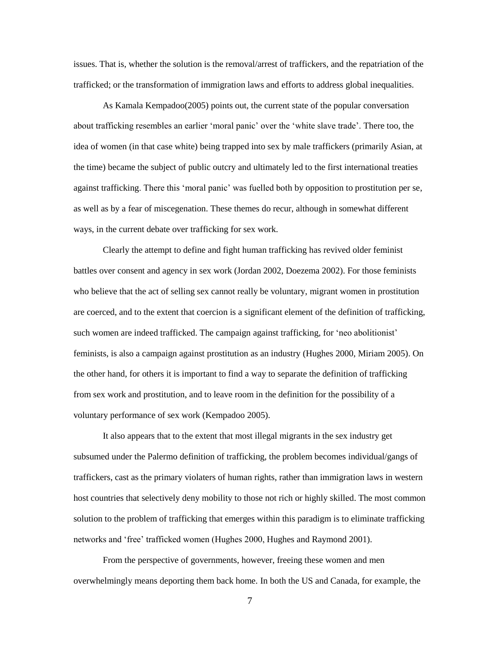issues. That is, whether the solution is the removal/arrest of traffickers, and the repatriation of the trafficked; or the transformation of immigration laws and efforts to address global inequalities.

As Kamala Kempadoo(2005) points out, the current state of the popular conversation about trafficking resembles an earlier 'moral panic' over the 'white slave trade'. There too, the idea of women (in that case white) being trapped into sex by male traffickers (primarily Asian, at the time) became the subject of public outcry and ultimately led to the first international treaties against trafficking. There this 'moral panic' was fuelled both by opposition to prostitution per se, as well as by a fear of miscegenation. These themes do recur, although in somewhat different ways, in the current debate over trafficking for sex work.

Clearly the attempt to define and fight human trafficking has revived older feminist battles over consent and agency in sex work (Jordan 2002, Doezema 2002). For those feminists who believe that the act of selling sex cannot really be voluntary, migrant women in prostitution are coerced, and to the extent that coercion is a significant element of the definition of trafficking, such women are indeed trafficked. The campaign against trafficking, for 'neo abolitionist' feminists, is also a campaign against prostitution as an industry (Hughes 2000, Miriam 2005). On the other hand, for others it is important to find a way to separate the definition of trafficking from sex work and prostitution, and to leave room in the definition for the possibility of a voluntary performance of sex work (Kempadoo 2005).

It also appears that to the extent that most illegal migrants in the sex industry get subsumed under the Palermo definition of trafficking, the problem becomes individual/gangs of traffickers, cast as the primary violaters of human rights, rather than immigration laws in western host countries that selectively deny mobility to those not rich or highly skilled. The most common solution to the problem of trafficking that emerges within this paradigm is to eliminate trafficking networks and 'free' trafficked women (Hughes 2000, Hughes and Raymond 2001).

From the perspective of governments, however, freeing these women and men overwhelmingly means deporting them back home. In both the US and Canada, for example, the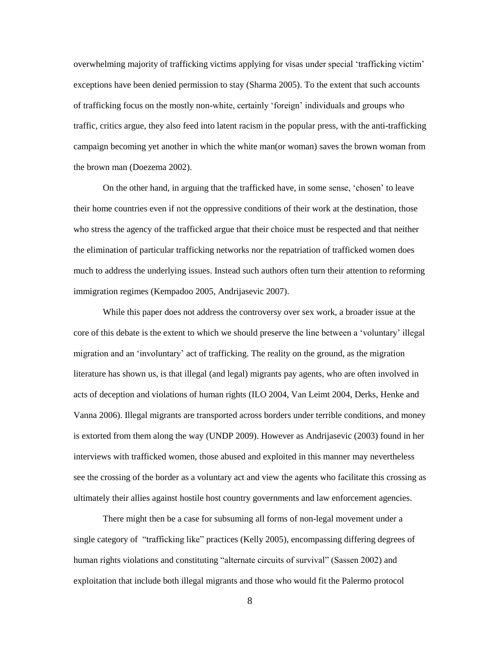overwhelming majority of trafficking victims applying for visas under special 'trafficking victim' exceptions have been denied permission to stay (Sharma 2005). To the extent that such accounts of trafficking focus on the mostly non-white, certainly 'foreign' individuals and groups who traffic, critics argue, they also feed into latent racism in the popular press, with the anti-trafficking campaign becoming yet another in which the white man(or woman) saves the brown woman from the brown man (Doezema 2002).

On the other hand, in arguing that the trafficked have, in some sense, 'chosen' to leave their home countries even if not the oppressive conditions of their work at the destination, those who stress the agency of the trafficked argue that their choice must be respected and that neither the elimination of particular trafficking networks nor the repatriation of trafficked women does much to address the underlying issues. Instead such authors often turn their attention to reforming immigration regimes (Kempadoo 2005, Andrijasevic 2007).

While this paper does not address the controversy over sex work, a broader issue at the core of this debate is the extent to which we should preserve the line between a 'voluntary' illegal migration and an 'involuntary' act of trafficking. The reality on the ground, as the migration literature has shown us, is that illegal (and legal) migrants pay agents, who are often involved in acts of deception and violations of human rights (ILO 2004, Van Leimt 2004, Derks, Henke and Vanna 2006). Illegal migrants are transported across borders under terrible conditions, and money is extorted from them along the way (UNDP 2009). However as Andrijasevic (2003) found in her interviews with trafficked women, those abused and exploited in this manner may nevertheless see the crossing of the border as a voluntary act and view the agents who facilitate this crossing as ultimately their allies against hostile host country governments and law enforcement agencies.

There might then be a case for subsuming all forms of non-legal movement under a single category of "trafficking like" practices (Kelly 2005), encompassing differing degrees of human rights violations and constituting "alternate circuits of survival" (Sassen 2002) and exploitation that include both illegal migrants and those who would fit the Palermo protocol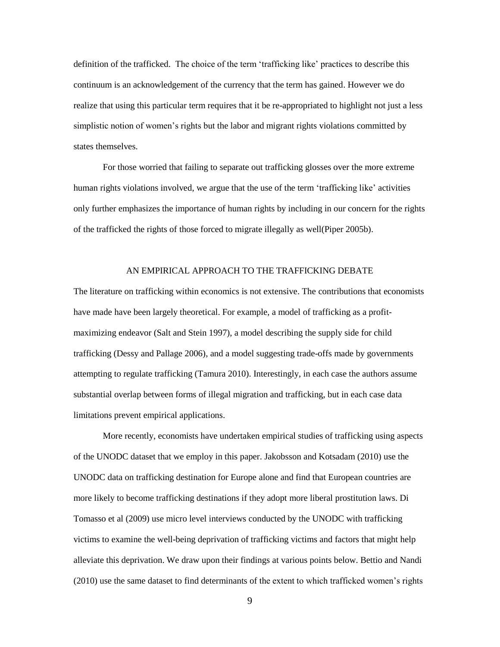definition of the trafficked. The choice of the term 'trafficking like' practices to describe this continuum is an acknowledgement of the currency that the term has gained. However we do realize that using this particular term requires that it be re-appropriated to highlight not just a less simplistic notion of women's rights but the labor and migrant rights violations committed by states themselves.

For those worried that failing to separate out trafficking glosses over the more extreme human rights violations involved, we argue that the use of the term 'trafficking like' activities only further emphasizes the importance of human rights by including in our concern for the rights of the trafficked the rights of those forced to migrate illegally as well(Piper 2005b).

### AN EMPIRICAL APPROACH TO THE TRAFFICKING DEBATE

The literature on trafficking within economics is not extensive. The contributions that economists have made have been largely theoretical. For example, a model of trafficking as a profitmaximizing endeavor (Salt and Stein 1997), a model describing the supply side for child trafficking (Dessy and Pallage 2006), and a model suggesting trade-offs made by governments attempting to regulate trafficking (Tamura 2010). Interestingly, in each case the authors assume substantial overlap between forms of illegal migration and trafficking, but in each case data limitations prevent empirical applications.

More recently, economists have undertaken empirical studies of trafficking using aspects of the UNODC dataset that we employ in this paper. Jakobsson and Kotsadam (2010) use the UNODC data on trafficking destination for Europe alone and find that European countries are more likely to become trafficking destinations if they adopt more liberal prostitution laws. Di Tomasso et al (2009) use micro level interviews conducted by the UNODC with trafficking victims to examine the well-being deprivation of trafficking victims and factors that might help alleviate this deprivation. We draw upon their findings at various points below. Bettio and Nandi (2010) use the same dataset to find determinants of the extent to which trafficked women's rights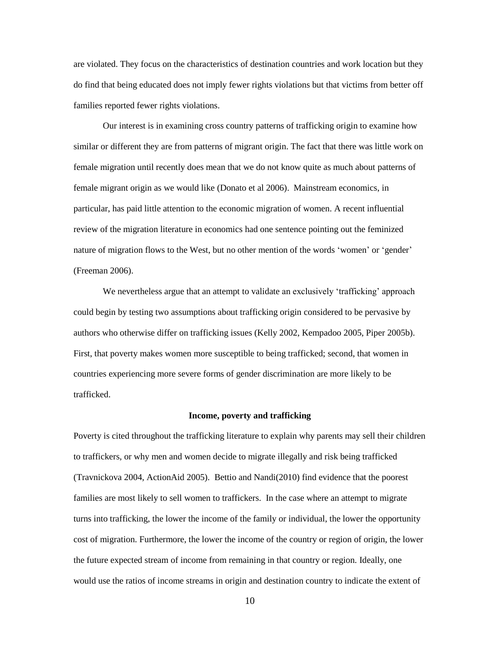are violated. They focus on the characteristics of destination countries and work location but they do find that being educated does not imply fewer rights violations but that victims from better off families reported fewer rights violations.

Our interest is in examining cross country patterns of trafficking origin to examine how similar or different they are from patterns of migrant origin. The fact that there was little work on female migration until recently does mean that we do not know quite as much about patterns of female migrant origin as we would like (Donato et al 2006). Mainstream economics, in particular, has paid little attention to the economic migration of women. A recent influential review of the migration literature in economics had one sentence pointing out the feminized nature of migration flows to the West, but no other mention of the words 'women' or 'gender' (Freeman 2006).

We nevertheless argue that an attempt to validate an exclusively 'trafficking' approach could begin by testing two assumptions about trafficking origin considered to be pervasive by authors who otherwise differ on trafficking issues (Kelly 2002, Kempadoo 2005, Piper 2005b). First, that poverty makes women more susceptible to being trafficked; second, that women in countries experiencing more severe forms of gender discrimination are more likely to be trafficked.

#### **Income, poverty and trafficking**

Poverty is cited throughout the trafficking literature to explain why parents may sell their children to traffickers, or why men and women decide to migrate illegally and risk being trafficked (Travnickova 2004, ActionAid 2005). Bettio and Nandi(2010) find evidence that the poorest families are most likely to sell women to traffickers. In the case where an attempt to migrate turns into trafficking, the lower the income of the family or individual, the lower the opportunity cost of migration. Furthermore, the lower the income of the country or region of origin, the lower the future expected stream of income from remaining in that country or region. Ideally, one would use the ratios of income streams in origin and destination country to indicate the extent of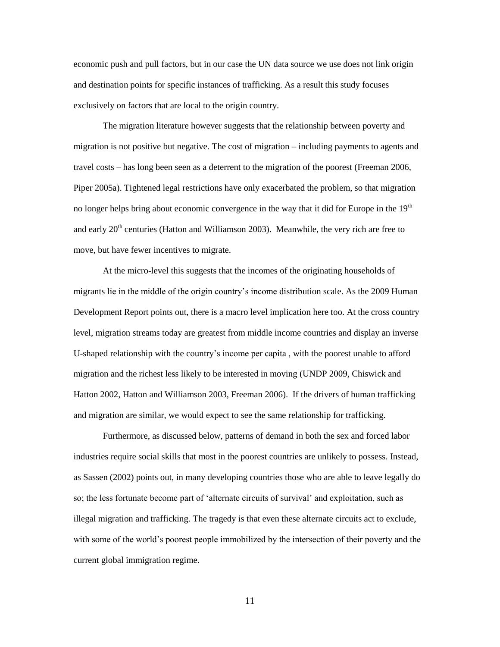economic push and pull factors, but in our case the UN data source we use does not link origin and destination points for specific instances of trafficking. As a result this study focuses exclusively on factors that are local to the origin country.

The migration literature however suggests that the relationship between poverty and migration is not positive but negative. The cost of migration – including payments to agents and travel costs – has long been seen as a deterrent to the migration of the poorest (Freeman 2006, Piper 2005a). Tightened legal restrictions have only exacerbated the problem, so that migration no longer helps bring about economic convergence in the way that it did for Europe in the  $19<sup>th</sup>$ and early  $20<sup>th</sup>$  centuries (Hatton and Williamson 2003). Meanwhile, the very rich are free to move, but have fewer incentives to migrate.

At the micro-level this suggests that the incomes of the originating households of migrants lie in the middle of the origin country's income distribution scale. As the 2009 Human Development Report points out, there is a macro level implication here too. At the cross country level, migration streams today are greatest from middle income countries and display an inverse U-shaped relationship with the country's income per capita , with the poorest unable to afford migration and the richest less likely to be interested in moving (UNDP 2009, Chiswick and Hatton 2002, Hatton and Williamson 2003, Freeman 2006). If the drivers of human trafficking and migration are similar, we would expect to see the same relationship for trafficking.

Furthermore, as discussed below, patterns of demand in both the sex and forced labor industries require social skills that most in the poorest countries are unlikely to possess. Instead, as Sassen (2002) points out, in many developing countries those who are able to leave legally do so; the less fortunate become part of 'alternate circuits of survival' and exploitation, such as illegal migration and trafficking. The tragedy is that even these alternate circuits act to exclude, with some of the world's poorest people immobilized by the intersection of their poverty and the current global immigration regime.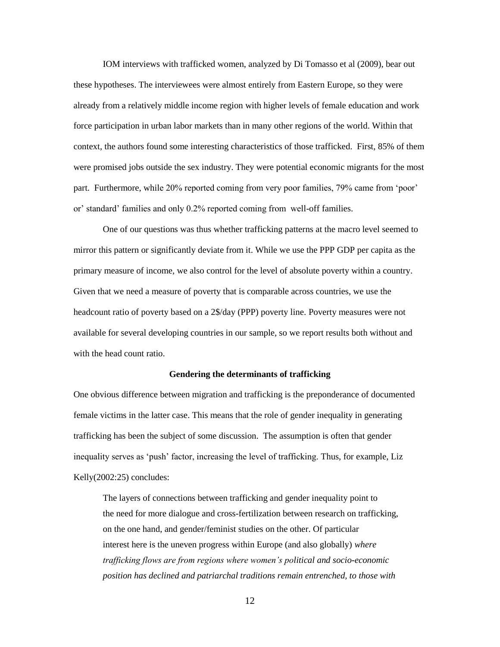IOM interviews with trafficked women, analyzed by Di Tomasso et al (2009), bear out these hypotheses. The interviewees were almost entirely from Eastern Europe, so they were already from a relatively middle income region with higher levels of female education and work force participation in urban labor markets than in many other regions of the world. Within that context, the authors found some interesting characteristics of those trafficked. First, 85% of them were promised jobs outside the sex industry. They were potential economic migrants for the most part. Furthermore, while 20% reported coming from very poor families, 79% came from 'poor' or' standard' families and only 0.2% reported coming from well-off families.

One of our questions was thus whether trafficking patterns at the macro level seemed to mirror this pattern or significantly deviate from it. While we use the PPP GDP per capita as the primary measure of income, we also control for the level of absolute poverty within a country. Given that we need a measure of poverty that is comparable across countries, we use the headcount ratio of poverty based on a 2\$/day (PPP) poverty line. Poverty measures were not available for several developing countries in our sample, so we report results both without and with the head count ratio.

#### **Gendering the determinants of trafficking**

One obvious difference between migration and trafficking is the preponderance of documented female victims in the latter case. This means that the role of gender inequality in generating trafficking has been the subject of some discussion. The assumption is often that gender inequality serves as 'push' factor, increasing the level of trafficking. Thus, for example, Liz Kelly(2002:25) concludes:

The layers of connections between trafficking and gender inequality point to the need for more dialogue and cross-fertilization between research on trafficking, on the one hand, and gender/feminist studies on the other. Of particular interest here is the uneven progress within Europe (and also globally) *where trafficking flows are from regions where women's political and socio-economic position has declined and patriarchal traditions remain entrenched, to those with*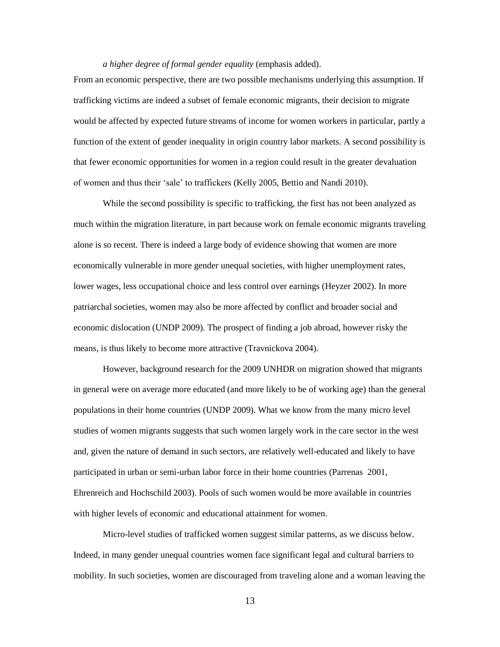## *a higher degree of formal gender equality* (emphasis added).

From an economic perspective, there are two possible mechanisms underlying this assumption. If trafficking victims are indeed a subset of female economic migrants, their decision to migrate would be affected by expected future streams of income for women workers in particular, partly a function of the extent of gender inequality in origin country labor markets. A second possibility is that fewer economic opportunities for women in a region could result in the greater devaluation of women and thus their 'sale' to traffickers (Kelly 2005, Bettio and Nandi 2010).

While the second possibility is specific to trafficking, the first has not been analyzed as much within the migration literature, in part because work on female economic migrants traveling alone is so recent. There is indeed a large body of evidence showing that women are more economically vulnerable in more gender unequal societies, with higher unemployment rates, lower wages, less occupational choice and less control over earnings (Heyzer 2002). In more patriarchal societies, women may also be more affected by conflict and broader social and economic dislocation (UNDP 2009). The prospect of finding a job abroad, however risky the means, is thus likely to become more attractive (Travnickova 2004).

However, background research for the 2009 UNHDR on migration showed that migrants in general were on average more educated (and more likely to be of working age) than the general populations in their home countries (UNDP 2009). What we know from the many micro level studies of women migrants suggests that such women largely work in the care sector in the west and, given the nature of demand in such sectors, are relatively well-educated and likely to have participated in urban or semi-urban labor force in their home countries (Parrenas 2001, Ehrenreich and Hochschild 2003). Pools of such women would be more available in countries with higher levels of economic and educational attainment for women.

Micro-level studies of trafficked women suggest similar patterns, as we discuss below. Indeed, in many gender unequal countries women face significant legal and cultural barriers to mobility. In such societies, women are discouraged from traveling alone and a woman leaving the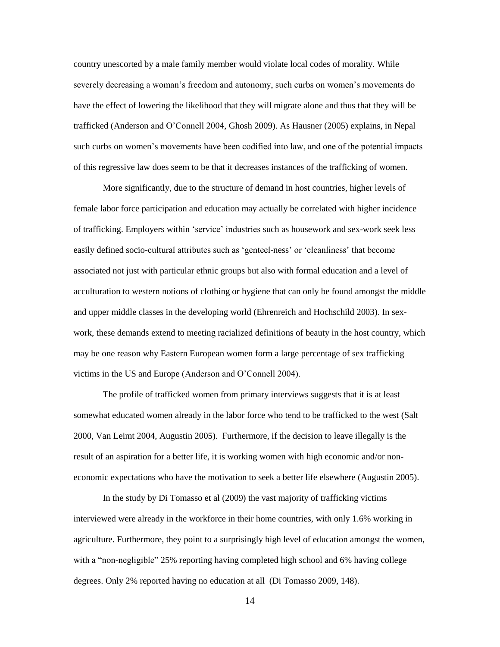country unescorted by a male family member would violate local codes of morality. While severely decreasing a woman's freedom and autonomy, such curbs on women's movements do have the effect of lowering the likelihood that they will migrate alone and thus that they will be trafficked (Anderson and O'Connell 2004, Ghosh 2009). As Hausner (2005) explains, in Nepal such curbs on women's movements have been codified into law, and one of the potential impacts of this regressive law does seem to be that it decreases instances of the trafficking of women.

More significantly, due to the structure of demand in host countries, higher levels of female labor force participation and education may actually be correlated with higher incidence of trafficking. Employers within 'service' industries such as housework and sex-work seek less easily defined socio-cultural attributes such as 'genteel-ness' or 'cleanliness' that become associated not just with particular ethnic groups but also with formal education and a level of acculturation to western notions of clothing or hygiene that can only be found amongst the middle and upper middle classes in the developing world (Ehrenreich and Hochschild 2003). In sexwork, these demands extend to meeting racialized definitions of beauty in the host country, which may be one reason why Eastern European women form a large percentage of sex trafficking victims in the US and Europe (Anderson and O'Connell 2004).

The profile of trafficked women from primary interviews suggests that it is at least somewhat educated women already in the labor force who tend to be trafficked to the west (Salt 2000, Van Leimt 2004, Augustin 2005). Furthermore, if the decision to leave illegally is the result of an aspiration for a better life, it is working women with high economic and/or noneconomic expectations who have the motivation to seek a better life elsewhere (Augustin 2005).

In the study by Di Tomasso et al (2009) the vast majority of trafficking victims interviewed were already in the workforce in their home countries, with only 1.6% working in agriculture. Furthermore, they point to a surprisingly high level of education amongst the women, with a "non-negligible" 25% reporting having completed high school and 6% having college degrees. Only 2% reported having no education at all (Di Tomasso 2009, 148).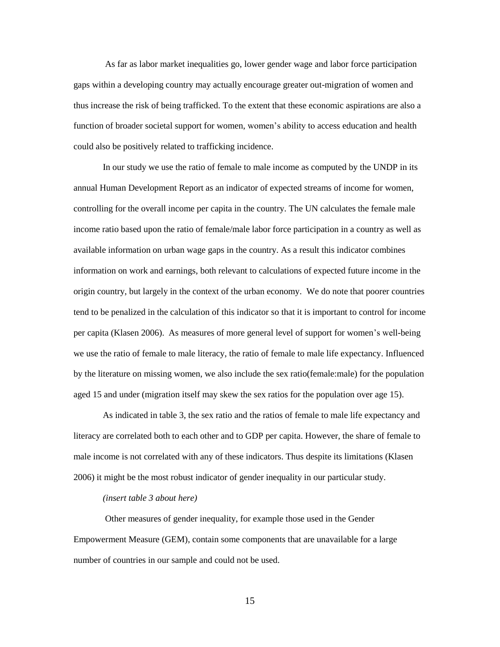As far as labor market inequalities go, lower gender wage and labor force participation gaps within a developing country may actually encourage greater out-migration of women and thus increase the risk of being trafficked. To the extent that these economic aspirations are also a function of broader societal support for women, women's ability to access education and health could also be positively related to trafficking incidence.

In our study we use the ratio of female to male income as computed by the UNDP in its annual Human Development Report as an indicator of expected streams of income for women, controlling for the overall income per capita in the country. The UN calculates the female male income ratio based upon the ratio of female/male labor force participation in a country as well as available information on urban wage gaps in the country. As a result this indicator combines information on work and earnings, both relevant to calculations of expected future income in the origin country, but largely in the context of the urban economy. We do note that poorer countries tend to be penalized in the calculation of this indicator so that it is important to control for income per capita (Klasen 2006). As measures of more general level of support for women's well-being we use the ratio of female to male literacy, the ratio of female to male life expectancy. Influenced by the literature on missing women, we also include the sex ratio(female:male) for the population aged 15 and under (migration itself may skew the sex ratios for the population over age 15).

As indicated in table 3, the sex ratio and the ratios of female to male life expectancy and literacy are correlated both to each other and to GDP per capita. However, the share of female to male income is not correlated with any of these indicators. Thus despite its limitations (Klasen 2006) it might be the most robust indicator of gender inequality in our particular study.

#### *(insert table 3 about here)*

Other measures of gender inequality, for example those used in the Gender Empowerment Measure (GEM), contain some components that are unavailable for a large number of countries in our sample and could not be used.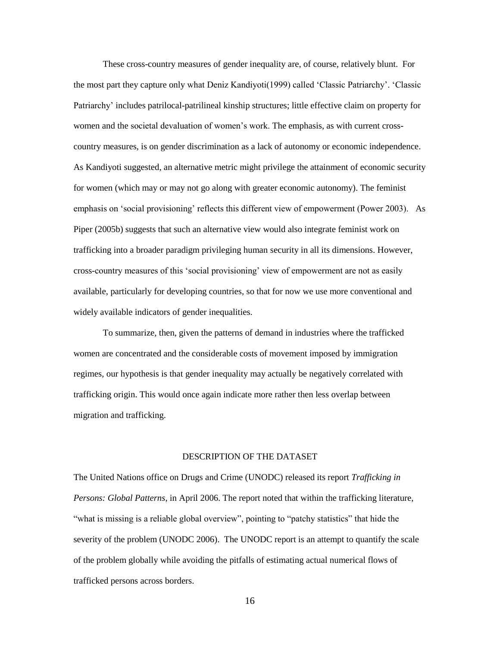These cross-country measures of gender inequality are, of course, relatively blunt. For the most part they capture only what Deniz Kandiyoti(1999) called 'Classic Patriarchy'. 'Classic Patriarchy' includes patrilocal-patrilineal kinship structures; little effective claim on property for women and the societal devaluation of women's work. The emphasis, as with current crosscountry measures, is on gender discrimination as a lack of autonomy or economic independence. As Kandiyoti suggested, an alternative metric might privilege the attainment of economic security for women (which may or may not go along with greater economic autonomy). The feminist emphasis on 'social provisioning' reflects this different view of empowerment (Power 2003). As Piper (2005b) suggests that such an alternative view would also integrate feminist work on trafficking into a broader paradigm privileging human security in all its dimensions. However, cross-country measures of this 'social provisioning' view of empowerment are not as easily available, particularly for developing countries, so that for now we use more conventional and widely available indicators of gender inequalities.

To summarize, then, given the patterns of demand in industries where the trafficked women are concentrated and the considerable costs of movement imposed by immigration regimes, our hypothesis is that gender inequality may actually be negatively correlated with trafficking origin. This would once again indicate more rather then less overlap between migration and trafficking.

#### DESCRIPTION OF THE DATASET

The United Nations office on Drugs and Crime (UNODC) released its report *Trafficking in Persons: Global Patterns*, in April 2006. The report noted that within the trafficking literature, "what is missing is a reliable global overview", pointing to "patchy statistics" that hide the severity of the problem (UNODC 2006). The UNODC report is an attempt to quantify the scale of the problem globally while avoiding the pitfalls of estimating actual numerical flows of trafficked persons across borders.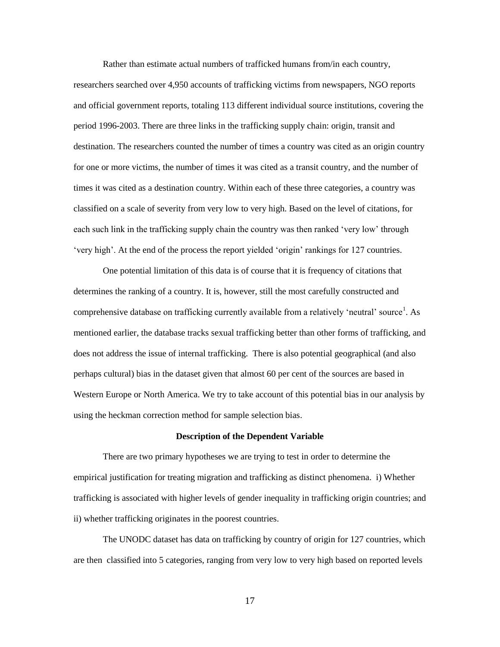Rather than estimate actual numbers of trafficked humans from/in each country, researchers searched over 4,950 accounts of trafficking victims from newspapers, NGO reports and official government reports, totaling 113 different individual source institutions, covering the period 1996-2003. There are three links in the trafficking supply chain: origin, transit and destination. The researchers counted the number of times a country was cited as an origin country for one or more victims, the number of times it was cited as a transit country, and the number of times it was cited as a destination country. Within each of these three categories, a country was classified on a scale of severity from very low to very high. Based on the level of citations, for each such link in the trafficking supply chain the country was then ranked 'very low' through 'very high'. At the end of the process the report yielded 'origin' rankings for 127 countries.

One potential limitation of this data is of course that it is frequency of citations that determines the ranking of a country. It is, however, still the most carefully constructed and comprehensive database on trafficking currently available from a relatively 'neutral' source<sup>1</sup>. As mentioned earlier, the database tracks sexual trafficking better than other forms of trafficking, and does not address the issue of internal trafficking. There is also potential geographical (and also perhaps cultural) bias in the dataset given that almost 60 per cent of the sources are based in Western Europe or North America. We try to take account of this potential bias in our analysis by using the heckman correction method for sample selection bias.

#### **Description of the Dependent Variable**

There are two primary hypotheses we are trying to test in order to determine the empirical justification for treating migration and trafficking as distinct phenomena. i) Whether trafficking is associated with higher levels of gender inequality in trafficking origin countries; and ii) whether trafficking originates in the poorest countries.

The UNODC dataset has data on trafficking by country of origin for 127 countries, which are then classified into 5 categories, ranging from very low to very high based on reported levels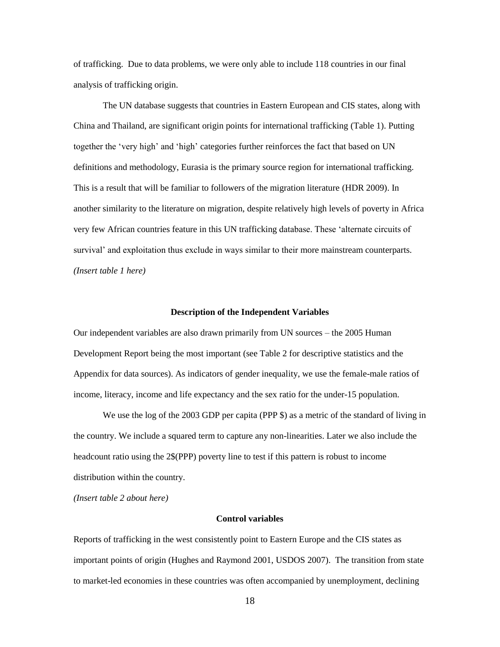of trafficking. Due to data problems, we were only able to include 118 countries in our final analysis of trafficking origin.

The UN database suggests that countries in Eastern European and CIS states, along with China and Thailand, are significant origin points for international trafficking (Table 1). Putting together the 'very high' and 'high' categories further reinforces the fact that based on UN definitions and methodology, Eurasia is the primary source region for international trafficking. This is a result that will be familiar to followers of the migration literature (HDR 2009). In another similarity to the literature on migration, despite relatively high levels of poverty in Africa very few African countries feature in this UN trafficking database. These 'alternate circuits of survival' and exploitation thus exclude in ways similar to their more mainstream counterparts. *(Insert table 1 here)*

#### **Description of the Independent Variables**

Our independent variables are also drawn primarily from UN sources – the 2005 Human Development Report being the most important (see Table 2 for descriptive statistics and the Appendix for data sources). As indicators of gender inequality, we use the female-male ratios of income, literacy, income and life expectancy and the sex ratio for the under-15 population.

We use the log of the 2003 GDP per capita (PPP \$) as a metric of the standard of living in the country. We include a squared term to capture any non-linearities. Later we also include the headcount ratio using the 2\$(PPP) poverty line to test if this pattern is robust to income distribution within the country.

*(Insert table 2 about here)*

# **Control variables**

Reports of trafficking in the west consistently point to Eastern Europe and the CIS states as important points of origin (Hughes and Raymond 2001, USDOS 2007). The transition from state to market-led economies in these countries was often accompanied by unemployment, declining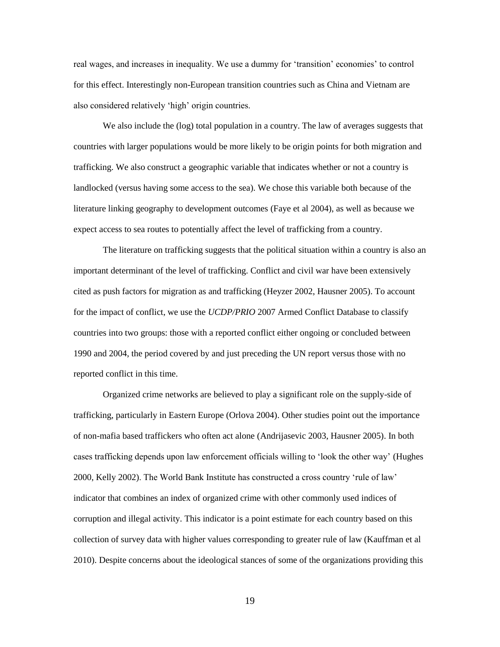real wages, and increases in inequality. We use a dummy for 'transition' economies' to control for this effect. Interestingly non-European transition countries such as China and Vietnam are also considered relatively 'high' origin countries.

We also include the (log) total population in a country. The law of averages suggests that countries with larger populations would be more likely to be origin points for both migration and trafficking. We also construct a geographic variable that indicates whether or not a country is landlocked (versus having some access to the sea). We chose this variable both because of the literature linking geography to development outcomes (Faye et al 2004), as well as because we expect access to sea routes to potentially affect the level of trafficking from a country.

The literature on trafficking suggests that the political situation within a country is also an important determinant of the level of trafficking. Conflict and civil war have been extensively cited as push factors for migration as and trafficking (Heyzer 2002, Hausner 2005). To account for the impact of conflict, we use the *UCDP/PRIO* 2007 Armed Conflict Database to classify countries into two groups: those with a reported conflict either ongoing or concluded between 1990 and 2004, the period covered by and just preceding the UN report versus those with no reported conflict in this time.

Organized crime networks are believed to play a significant role on the supply-side of trafficking, particularly in Eastern Europe (Orlova 2004). Other studies point out the importance of non-mafia based traffickers who often act alone (Andrijasevic 2003, Hausner 2005). In both cases trafficking depends upon law enforcement officials willing to 'look the other way' (Hughes 2000, Kelly 2002). The World Bank Institute has constructed a cross country 'rule of law' indicator that combines an index of organized crime with other commonly used indices of corruption and illegal activity. This indicator is a point estimate for each country based on this collection of survey data with higher values corresponding to greater rule of law (Kauffman et al 2010). Despite concerns about the ideological stances of some of the organizations providing this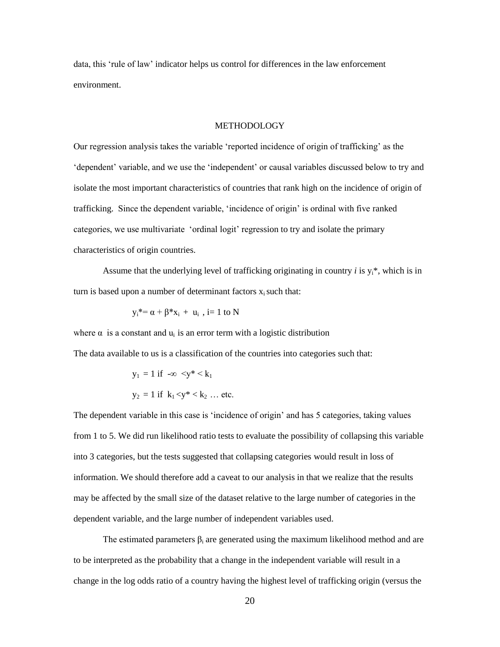data, this 'rule of law' indicator helps us control for differences in the law enforcement environment.

### METHODOLOGY

Our regression analysis takes the variable 'reported incidence of origin of trafficking' as the 'dependent' variable, and we use the 'independent' or causal variables discussed below to try and isolate the most important characteristics of countries that rank high on the incidence of origin of trafficking. Since the dependent variable, 'incidence of origin' is ordinal with five ranked categories, we use multivariate 'ordinal logit' regression to try and isolate the primary characteristics of origin countries.

Assume that the underlying level of trafficking originating in country  $i$  is  $y_i^*$ , which is in turn is based upon a number of determinant factors  $x_i$  such that:

$$
y_i^* = \alpha + \beta^* x_i + u_i , i = 1 \text{ to } N
$$

where  $\alpha$  is a constant and  $u_i$  is an error term with a logistic distribution

The data available to us is a classification of the countries into categories such that:

$$
y_1 = 1 \text{ if } -\infty < y^* < k_1
$$
\n
$$
y_2 = 1 \text{ if } k_1 < y^* < k_2 \dots \text{ etc.}
$$

The dependent variable in this case is 'incidence of origin' and has 5 categories, taking values from 1 to 5. We did run likelihood ratio tests to evaluate the possibility of collapsing this variable into 3 categories, but the tests suggested that collapsing categories would result in loss of information. We should therefore add a caveat to our analysis in that we realize that the results may be affected by the small size of the dataset relative to the large number of categories in the dependent variable, and the large number of independent variables used.

The estimated parameters  $\beta_i$  are generated using the maximum likelihood method and are to be interpreted as the probability that a change in the independent variable will result in a change in the log odds ratio of a country having the highest level of trafficking origin (versus the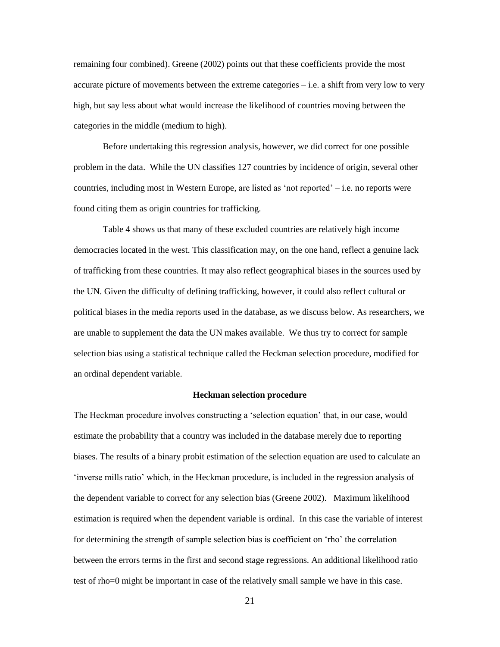remaining four combined). Greene (2002) points out that these coefficients provide the most accurate picture of movements between the extreme categories – i.e. a shift from very low to very high, but say less about what would increase the likelihood of countries moving between the categories in the middle (medium to high).

Before undertaking this regression analysis, however, we did correct for one possible problem in the data. While the UN classifies 127 countries by incidence of origin, several other countries, including most in Western Europe, are listed as 'not reported' – i.e. no reports were found citing them as origin countries for trafficking.

Table 4 shows us that many of these excluded countries are relatively high income democracies located in the west. This classification may, on the one hand, reflect a genuine lack of trafficking from these countries. It may also reflect geographical biases in the sources used by the UN. Given the difficulty of defining trafficking, however, it could also reflect cultural or political biases in the media reports used in the database, as we discuss below. As researchers, we are unable to supplement the data the UN makes available. We thus try to correct for sample selection bias using a statistical technique called the Heckman selection procedure, modified for an ordinal dependent variable.

#### **Heckman selection procedure**

The Heckman procedure involves constructing a 'selection equation' that, in our case, would estimate the probability that a country was included in the database merely due to reporting biases. The results of a binary probit estimation of the selection equation are used to calculate an 'inverse mills ratio' which, in the Heckman procedure, is included in the regression analysis of the dependent variable to correct for any selection bias (Greene 2002). Maximum likelihood estimation is required when the dependent variable is ordinal. In this case the variable of interest for determining the strength of sample selection bias is coefficient on 'rho' the correlation between the errors terms in the first and second stage regressions. An additional likelihood ratio test of rho=0 might be important in case of the relatively small sample we have in this case.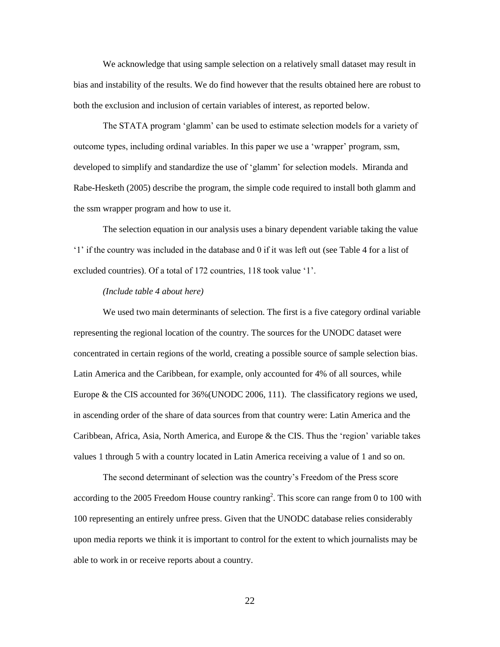We acknowledge that using sample selection on a relatively small dataset may result in bias and instability of the results. We do find however that the results obtained here are robust to both the exclusion and inclusion of certain variables of interest, as reported below.

The STATA program 'glamm' can be used to estimate selection models for a variety of outcome types, including ordinal variables. In this paper we use a 'wrapper' program, ssm, developed to simplify and standardize the use of 'glamm' for selection models. Miranda and Rabe-Hesketh (2005) describe the program, the simple code required to install both glamm and the ssm wrapper program and how to use it.

The selection equation in our analysis uses a binary dependent variable taking the value '1' if the country was included in the database and 0 if it was left out (see Table 4 for a list of excluded countries). Of a total of 172 countries, 118 took value '1'.

## *(Include table 4 about here)*

We used two main determinants of selection. The first is a five category ordinal variable representing the regional location of the country. The sources for the UNODC dataset were concentrated in certain regions of the world, creating a possible source of sample selection bias. Latin America and the Caribbean, for example, only accounted for 4% of all sources, while Europe & the CIS accounted for 36%(UNODC 2006, 111). The classificatory regions we used, in ascending order of the share of data sources from that country were: Latin America and the Caribbean, Africa, Asia, North America, and Europe & the CIS. Thus the 'region' variable takes values 1 through 5 with a country located in Latin America receiving a value of 1 and so on.

The second determinant of selection was the country's Freedom of the Press score according to the 2005 Freedom House country ranking<sup>2</sup>. This score can range from 0 to 100 with 100 representing an entirely unfree press. Given that the UNODC database relies considerably upon media reports we think it is important to control for the extent to which journalists may be able to work in or receive reports about a country.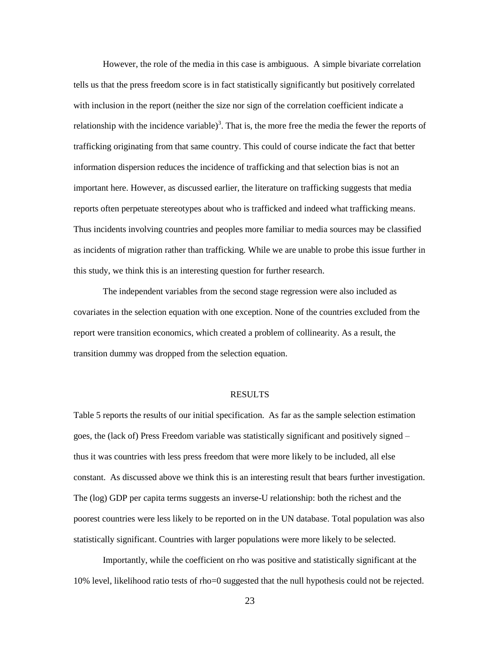However, the role of the media in this case is ambiguous. A simple bivariate correlation tells us that the press freedom score is in fact statistically significantly but positively correlated with inclusion in the report (neither the size nor sign of the correlation coefficient indicate a relationship with the incidence variable)<sup>3</sup>. That is, the more free the media the fewer the reports of trafficking originating from that same country. This could of course indicate the fact that better information dispersion reduces the incidence of trafficking and that selection bias is not an important here. However, as discussed earlier, the literature on trafficking suggests that media reports often perpetuate stereotypes about who is trafficked and indeed what trafficking means. Thus incidents involving countries and peoples more familiar to media sources may be classified as incidents of migration rather than trafficking. While we are unable to probe this issue further in this study, we think this is an interesting question for further research.

The independent variables from the second stage regression were also included as covariates in the selection equation with one exception. None of the countries excluded from the report were transition economics, which created a problem of collinearity. As a result, the transition dummy was dropped from the selection equation.

#### RESULTS

Table 5 reports the results of our initial specification. As far as the sample selection estimation goes, the (lack of) Press Freedom variable was statistically significant and positively signed – thus it was countries with less press freedom that were more likely to be included, all else constant. As discussed above we think this is an interesting result that bears further investigation. The (log) GDP per capita terms suggests an inverse-U relationship: both the richest and the poorest countries were less likely to be reported on in the UN database. Total population was also statistically significant. Countries with larger populations were more likely to be selected.

Importantly, while the coefficient on rho was positive and statistically significant at the 10% level, likelihood ratio tests of rho=0 suggested that the null hypothesis could not be rejected.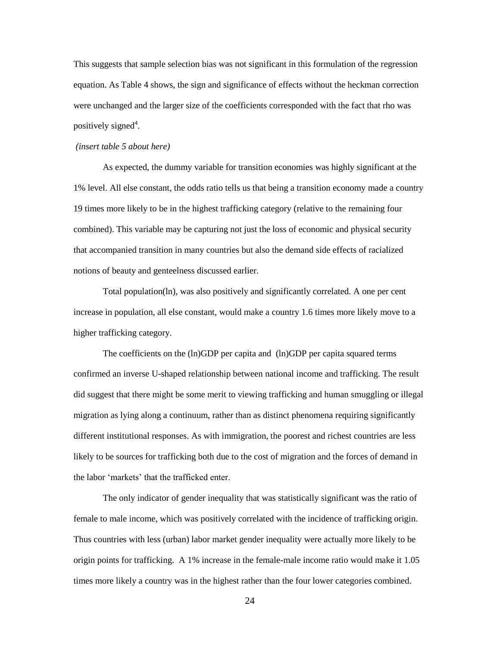This suggests that sample selection bias was not significant in this formulation of the regression equation. As Table 4 shows, the sign and significance of effects without the heckman correction were unchanged and the larger size of the coefficients corresponded with the fact that rho was positively signed<sup>4</sup>.

#### *(insert table 5 about here)*

As expected, the dummy variable for transition economies was highly significant at the 1% level. All else constant, the odds ratio tells us that being a transition economy made a country 19 times more likely to be in the highest trafficking category (relative to the remaining four combined). This variable may be capturing not just the loss of economic and physical security that accompanied transition in many countries but also the demand side effects of racialized notions of beauty and genteelness discussed earlier.

Total population(ln), was also positively and significantly correlated. A one per cent increase in population, all else constant, would make a country 1.6 times more likely move to a higher trafficking category.

The coefficients on the (ln)GDP per capita and (ln)GDP per capita squared terms confirmed an inverse U-shaped relationship between national income and trafficking. The result did suggest that there might be some merit to viewing trafficking and human smuggling or illegal migration as lying along a continuum, rather than as distinct phenomena requiring significantly different institutional responses. As with immigration, the poorest and richest countries are less likely to be sources for trafficking both due to the cost of migration and the forces of demand in the labor 'markets' that the trafficked enter.

The only indicator of gender inequality that was statistically significant was the ratio of female to male income, which was positively correlated with the incidence of trafficking origin. Thus countries with less (urban) labor market gender inequality were actually more likely to be origin points for trafficking. A 1% increase in the female-male income ratio would make it 1.05 times more likely a country was in the highest rather than the four lower categories combined.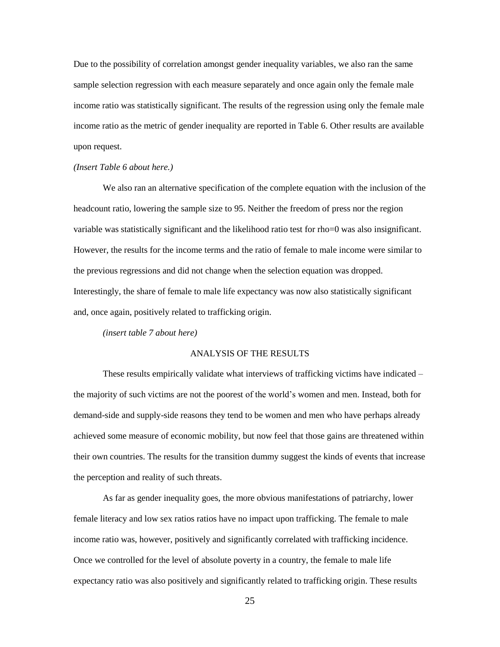Due to the possibility of correlation amongst gender inequality variables, we also ran the same sample selection regression with each measure separately and once again only the female male income ratio was statistically significant. The results of the regression using only the female male income ratio as the metric of gender inequality are reported in Table 6. Other results are available upon request.

#### *(Insert Table 6 about here.)*

We also ran an alternative specification of the complete equation with the inclusion of the headcount ratio, lowering the sample size to 95. Neither the freedom of press nor the region variable was statistically significant and the likelihood ratio test for rho=0 was also insignificant. However, the results for the income terms and the ratio of female to male income were similar to the previous regressions and did not change when the selection equation was dropped. Interestingly, the share of female to male life expectancy was now also statistically significant and, once again, positively related to trafficking origin.

*(insert table 7 about here)*

#### ANALYSIS OF THE RESULTS

These results empirically validate what interviews of trafficking victims have indicated – the majority of such victims are not the poorest of the world's women and men. Instead, both for demand-side and supply-side reasons they tend to be women and men who have perhaps already achieved some measure of economic mobility, but now feel that those gains are threatened within their own countries. The results for the transition dummy suggest the kinds of events that increase the perception and reality of such threats.

As far as gender inequality goes, the more obvious manifestations of patriarchy, lower female literacy and low sex ratios ratios have no impact upon trafficking. The female to male income ratio was, however, positively and significantly correlated with trafficking incidence. Once we controlled for the level of absolute poverty in a country, the female to male life expectancy ratio was also positively and significantly related to trafficking origin. These results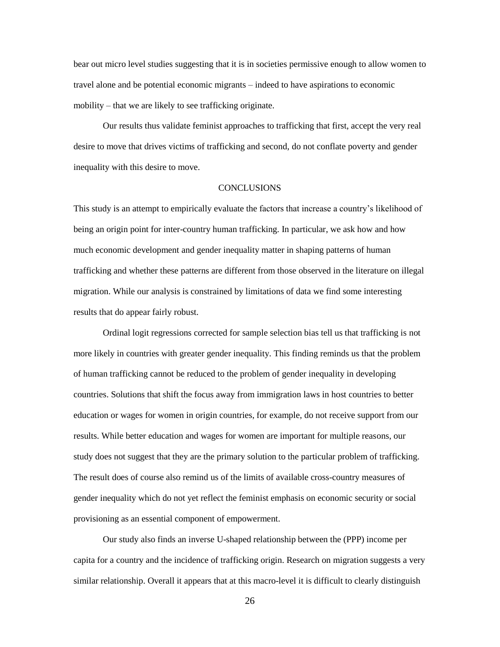bear out micro level studies suggesting that it is in societies permissive enough to allow women to travel alone and be potential economic migrants – indeed to have aspirations to economic mobility – that we are likely to see trafficking originate.

Our results thus validate feminist approaches to trafficking that first, accept the very real desire to move that drives victims of trafficking and second, do not conflate poverty and gender inequality with this desire to move.

# **CONCLUSIONS**

This study is an attempt to empirically evaluate the factors that increase a country's likelihood of being an origin point for inter-country human trafficking. In particular, we ask how and how much economic development and gender inequality matter in shaping patterns of human trafficking and whether these patterns are different from those observed in the literature on illegal migration. While our analysis is constrained by limitations of data we find some interesting results that do appear fairly robust.

Ordinal logit regressions corrected for sample selection bias tell us that trafficking is not more likely in countries with greater gender inequality. This finding reminds us that the problem of human trafficking cannot be reduced to the problem of gender inequality in developing countries. Solutions that shift the focus away from immigration laws in host countries to better education or wages for women in origin countries, for example, do not receive support from our results. While better education and wages for women are important for multiple reasons, our study does not suggest that they are the primary solution to the particular problem of trafficking. The result does of course also remind us of the limits of available cross-country measures of gender inequality which do not yet reflect the feminist emphasis on economic security or social provisioning as an essential component of empowerment.

Our study also finds an inverse U-shaped relationship between the (PPP) income per capita for a country and the incidence of trafficking origin. Research on migration suggests a very similar relationship. Overall it appears that at this macro-level it is difficult to clearly distinguish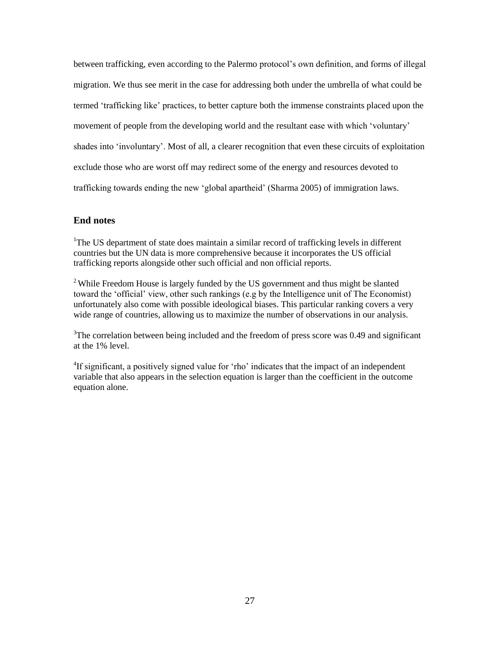between trafficking, even according to the Palermo protocol's own definition, and forms of illegal migration. We thus see merit in the case for addressing both under the umbrella of what could be termed 'trafficking like' practices, to better capture both the immense constraints placed upon the movement of people from the developing world and the resultant ease with which 'voluntary' shades into 'involuntary'. Most of all, a clearer recognition that even these circuits of exploitation exclude those who are worst off may redirect some of the energy and resources devoted to trafficking towards ending the new 'global apartheid' (Sharma 2005) of immigration laws.

# **End notes**

<sup>1</sup>The US department of state does maintain a similar record of trafficking levels in different countries but the UN data is more comprehensive because it incorporates the US official trafficking reports alongside other such official and non official reports.

<sup>2</sup> While Freedom House is largely funded by the US government and thus might be slanted toward the 'official' view, other such rankings (e.g by the Intelligence unit of The Economist) unfortunately also come with possible ideological biases. This particular ranking covers a very wide range of countries, allowing us to maximize the number of observations in our analysis.

 $3$ The correlation between being included and the freedom of press score was 0.49 and significant at the 1% level.

<sup>4</sup>If significant, a positively signed value for 'rho' indicates that the impact of an independent variable that also appears in the selection equation is larger than the coefficient in the outcome equation alone.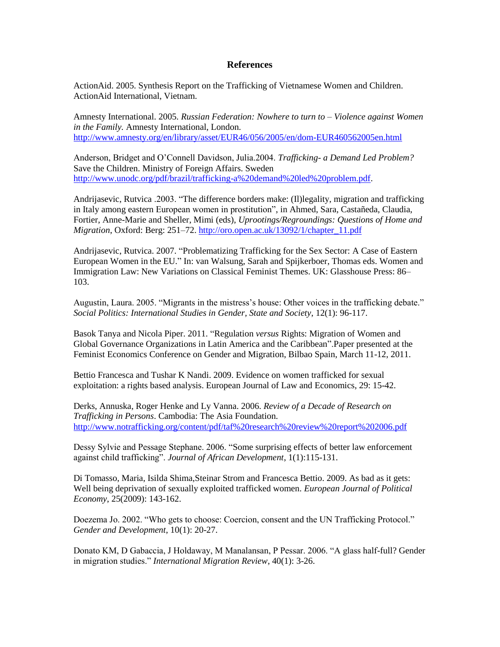# **References**

ActionAid. 2005. Synthesis Report on the Trafficking of Vietnamese Women and Children. ActionAid International, Vietnam.

Amnesty International. 2005. *Russian Federation: Nowhere to turn to – Violence against Women in the Family.* Amnesty International, London. <http://www.amnesty.org/en/library/asset/EUR46/056/2005/en/dom-EUR460562005en.html>

Anderson, Bridget and O'Connell Davidson, Julia.2004. *Trafficking- a Demand Led Problem?*  Save the Children. Ministry of Foreign Affairs. Sweden [http://www.unodc.org/pdf/brazil/trafficking-a%20demand%20led%20problem.pdf.](http://www.unodc.org/pdf/brazil/trafficking-a%20demand%20led%20problem.pdf)

Andrijasevic, Rutvica .2003. "The difference borders make: (Il)legality, migration and trafficking in Italy among eastern European women in prostitution", in Ahmed, Sara, Castañeda, Claudia, Fortier, Anne-Marie and Sheller, Mimi (eds), *Uprootings/Regroundings: Questions of Home and Migration*, Oxford: Berg: 251–72. [http://oro.open.ac.uk/13092/1/chapter\\_11.pdf](http://oro.open.ac.uk/13092/1/chapter_11.pdf)

Andrijasevic, Rutvica. 2007. "Problematizing Trafficking for the Sex Sector: A Case of Eastern European Women in the EU." In: van Walsung, Sarah and Spijkerboer, Thomas eds. Women and Immigration Law: New Variations on Classical Feminist Themes. UK: Glasshouse Press: 86– 103.

Augustin, Laura. 2005. "Migrants in the mistress's house: Other voices in the trafficking debate." *Social Politics: International Studies in Gender, State and Society*, 12(1): 96-117.

Basok Tanya and Nicola Piper. 2011. "Regulation *versus* Rights: Migration of Women and Global Governance Organizations in Latin America and the Caribbean".Paper presented at the Feminist Economics Conference on Gender and Migration, Bilbao Spain, March 11-12, 2011.

Bettio Francesca and Tushar K Nandi. 2009. Evidence on women trafficked for sexual exploitation: a rights based analysis. European Journal of Law and Economics, 29: 15-42.

Derks, Annuska, Roger Henke and Ly Vanna. 2006. *Review of a Decade of Research on Trafficking in Persons*. Cambodia: The Asia Foundation. <http://www.notrafficking.org/content/pdf/taf%20research%20review%20report%202006.pdf>

Dessy Sylvie and Pessage Stephane. 2006. "Some surprising effects of better law enforcement against child trafficking". *Journal of African Development*, 1(1):115-131.

Di Tomasso, Maria, Isilda Shima,Steinar Strom and Francesca Bettio. 2009. As bad as it gets: Well being deprivation of sexually exploited trafficked women. *European Journal of Political Economy*, 25(2009): 143-162.

Doezema Jo. 2002. "Who gets to choose: Coercion, consent and the UN Trafficking Protocol." *Gender and Development*, 10(1): 20-27.

Donato KM, D Gabaccia, J Holdaway, M Manalansan, P Pessar. 2006. "A glass half-full? Gender in migration studies." *International Migration Review*, 40(1): 3-26.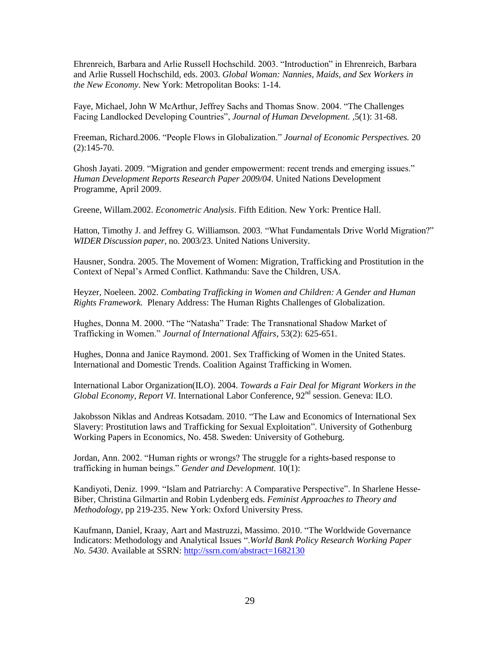Ehrenreich, Barbara and Arlie Russell Hochschild. 2003. "Introduction" in Ehrenreich, Barbara and Arlie Russell Hochschild, eds. 2003. *Global Woman: Nannies, Maids, and Sex Workers in the New Economy*. New York: Metropolitan Books: 1-14.

Faye, Michael, John W McArthur, Jeffrey Sachs and Thomas Snow. 2004. "The Challenges Facing Landlocked Developing Countries", *Journal of Human Development. ,*5(1): 31-68.

Freeman, Richard.2006. "People Flows in Globalization." *Journal of Economic Perspectives.* 20  $(2):145-70.$ 

Ghosh Jayati. 2009. "Migration and gender empowerment: recent trends and emerging issues." *Human Development Reports Research Paper 2009/04*. United Nations Development Programme, April 2009.

Greene, Willam.2002. *Econometric Analysis*. Fifth Edition. New York: Prentice Hall.

Hatton, Timothy J. and Jeffrey G. Williamson. 2003. "What Fundamentals Drive World Migration?" *WIDER Discussion paper*, no. 2003/23. United Nations University.

Hausner, Sondra. 2005. The Movement of Women: Migration, Trafficking and Prostitution in the Context of Nepal's Armed Conflict. Kathmandu: Save the Children, USA.

Heyzer, Noeleen. 2002. *Combating Trafficking in Women and Children: A Gender and Human Rights Framework.* Plenary Address: The Human Rights Challenges of Globalization.

Hughes, Donna M. 2000. "The "Natasha" Trade: The Transnational Shadow Market of Trafficking in Women." *Journal of International Affairs*, 53(2): 625-651.

Hughes, Donna and Janice Raymond. 2001. Sex Trafficking of Women in the United States. International and Domestic Trends. Coalition Against Trafficking in Women.

International Labor Organization(ILO). 2004. *Towards a Fair Deal for Migrant Workers in the Global Economy, Report VI.* International Labor Conference,  $92<sup>nd</sup>$  session. Geneva: ILO.

Jakobsson Niklas and Andreas Kotsadam. 2010. "The Law and Economics of International Sex Slavery: Prostitution laws and Trafficking for Sexual Exploitation". University of Gothenburg Working Papers in Economics, No. 458. Sweden: University of Gotheburg.

Jordan, Ann. 2002. "Human rights or wrongs? The struggle for a rights-based response to trafficking in human beings." *Gender and Development.* 10(1):

Kandiyoti, Deniz. 1999. "Islam and Patriarchy: A Comparative Perspective". In Sharlene Hesse-Biber, Christina Gilmartin and Robin Lydenberg eds. *Feminist Approaches to Theory and Methodology*, pp 219-235. New York: Oxford University Press.

Kaufmann, Daniel, Kraay, Aart and Mastruzzi, Massimo. 2010. "The Worldwide Governance Indicators: Methodology and Analytical Issues ".*World Bank Policy Research Working Paper No. 5430*. Available at SSRN:<http://ssrn.com/abstract=1682130>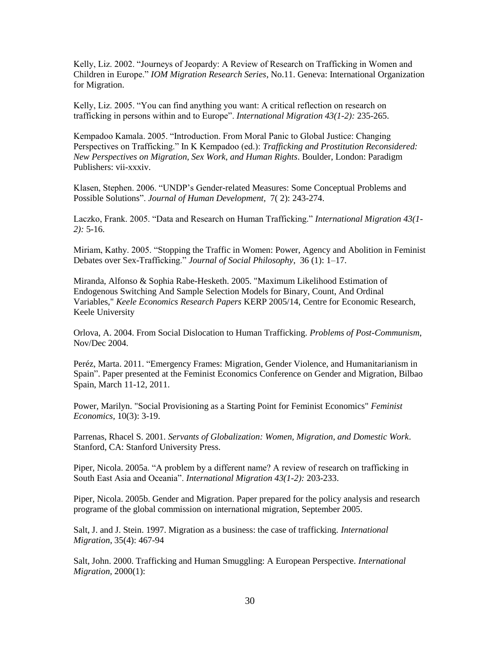Kelly, Liz. 2002. "Journeys of Jeopardy: A Review of Research on Trafficking in Women and Children in Europe." *IOM Migration Research Series*, No.11. Geneva: International Organization for Migration.

Kelly, Liz. 2005. "You can find anything you want: A critical reflection on research on trafficking in persons within and to Europe". *International Migration 43(1-2):* 235-265.

Kempadoo Kamala. 2005. "Introduction. From Moral Panic to Global Justice: Changing Perspectives on Trafficking." In K Kempadoo (ed.): *Trafficking and Prostitution Reconsidered: New Perspectives on Migration, Sex Work, and Human Rights*. Boulder, London: Paradigm Publishers: vii-xxxiv.

Klasen, Stephen. 2006. "UNDP's Gender-related Measures: Some Conceptual Problems and Possible Solutions". *Journal of Human Development,* 7( 2): 243-274.

Laczko, Frank. 2005. "Data and Research on Human Trafficking." *International Migration 43(1- 2):* 5-16.

Miriam, Kathy. 2005. "Stopping the Traffic in Women: Power, Agency and Abolition in Feminist Debates over Sex-Trafficking." *Journal of Social Philosophy*, 36 (1): 1–17.

Miranda, Alfonso & Sophia Rabe-Hesketh. 2005. "Maximum Likelihood Estimation of Endogenous Switching And Sample Selection Models for Binary, Count, And Ordinal Variables," *[Keele Economics Research Papers](http://ideas.repec.org/s/kee/kerpuk.html)* KERP 2005/14, Centre for Economic Research, Keele University

Orlova, A. 2004. From Social Dislocation to Human Trafficking. *Problems of Post-Communism*, Nov/Dec 2004.

Peréz, Marta. 2011. "Emergency Frames: Migration, Gender Violence, and Humanitarianism in Spain". Paper presented at the Feminist Economics Conference on Gender and Migration, Bilbao Spain, March 11-12, 2011.

Power, Marilyn. "Social Provisioning as a Starting Point for Feminist Economics" *Feminist Economics,* 10(3): 3-19.

Parrenas, Rhacel S. 2001. *Servants of Globalization: Women, Migration, and Domestic Work*. Stanford, CA: Stanford University Press.

Piper, Nicola. 2005a. "A problem by a different name? A review of research on trafficking in South East Asia and Oceania". *International Migration 43(1-2):* 203-233.

Piper, Nicola. 2005b. Gender and Migration. Paper prepared for the policy analysis and research programe of the global commission on international migration, September 2005.

Salt, J. and J. Stein. 1997. Migration as a business: the case of trafficking*. International Migration*, 35(4): 467-94

Salt, John. 2000. Trafficking and Human Smuggling: A European Perspective. *International Migration,* 2000(1):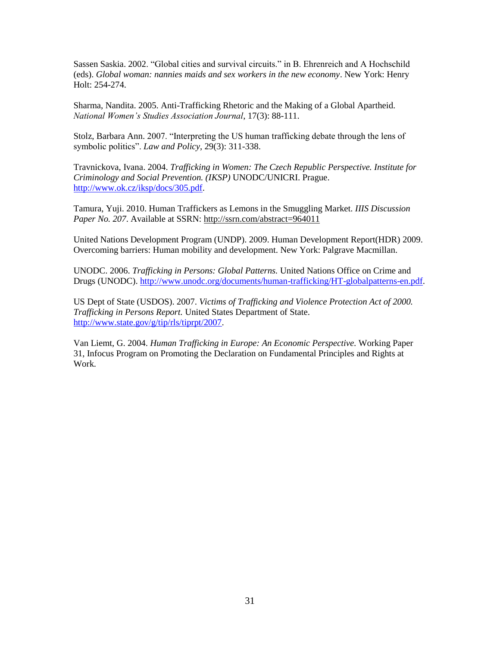Sassen Saskia. 2002. "Global cities and survival circuits." in B. Ehrenreich and A Hochschild (eds). *Global woman: nannies maids and sex workers in the new economy*. New York: Henry Holt: 254-274.

Sharma, Nandita. 2005. Anti-Trafficking Rhetoric and the Making of a Global Apartheid. *National Women's Studies Association Journal*, 17(3): 88-111.

Stolz, Barbara Ann. 2007. "Interpreting the US human trafficking debate through the lens of symbolic politics". *Law and Policy*, 29(3): 311-338.

Travnickova, Ivana. 2004. *Trafficking in Women: The Czech Republic Perspective. Institute for Criminology and Social Prevention. (IKSP)* UNODC/UNICRI. Prague. [http://www.ok.cz/iksp/docs/305.pdf.](http://www.ok.cz/iksp/docs/305.pdf)

Tamura, Yuji. 2010. Human Traffickers as Lemons in the Smuggling Market*. IIIS Discussion*  Paper No. 207. Available at SSRN:<http://ssrn.com/abstract=964011>

United Nations Development Program (UNDP). 2009. Human Development Report(HDR) 2009. Overcoming barriers: Human mobility and development. New York: Palgrave Macmillan.

UNODC. 2006. *Trafficking in Persons: Global Patterns.* United Nations Office on Crime and Drugs (UNODC). [http://www.unodc.org/documents/human-trafficking/HT-globalpatterns-en.pdf.](http://www.unodc.org/documents/human-trafficking/HT-globalpatterns-en.pdf)

US Dept of State (USDOS). 2007. *Victims of Trafficking and Violence Protection Act of 2000. Trafficking in Persons Report.* United States Department of State. [http://www.state.gov/g/tip/rls/tiprpt/2007.](http://www.state.gov/g/tip/rls/tiprpt/2007)

Van Liemt, G. 2004. *Human Trafficking in Europe: An Economic Perspective.* Working Paper 31, Infocus Program on Promoting the Declaration on Fundamental Principles and Rights at Work.